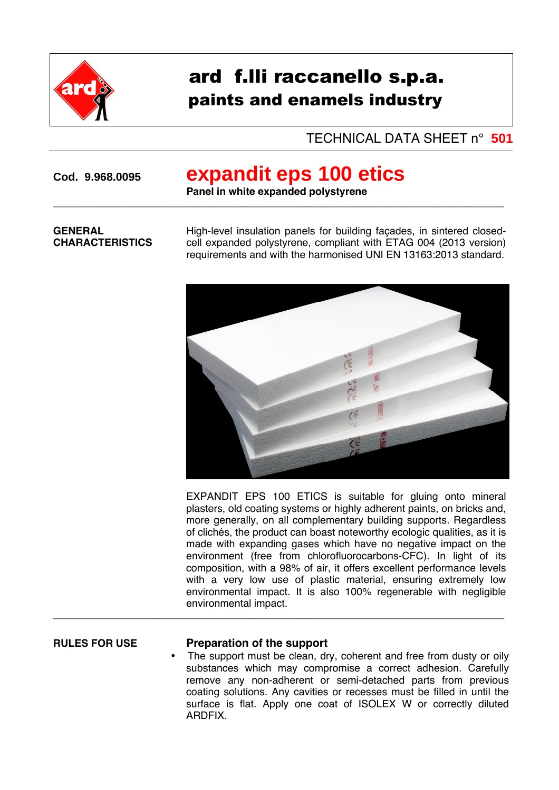

# ard f.lli raccanello s.p.a. paints and enamels industry

## TECHNICAL DATA SHEET n° **501**

# **Cod. 9.968.0095 expandit eps 100 etics**

**Panel in white expanded polystyrene**  $\overline{a_1}$  ,  $\overline{a_2}$  ,  $\overline{a_3}$  ,  $\overline{a_4}$  ,  $\overline{a_5}$  ,  $\overline{a_6}$  ,  $\overline{a_7}$  ,  $\overline{a_8}$  ,  $\overline{a_9}$  ,  $\overline{a_9}$  ,  $\overline{a_9}$  ,  $\overline{a_9}$  ,  $\overline{a_9}$  ,  $\overline{a_9}$  ,  $\overline{a_9}$  ,  $\overline{a_9}$  ,  $\overline{a_9}$  ,

### **GENERAL CHARACTERISTICS**

High-level insulation panels for building façades, in sintered closedcell expanded polystyrene, compliant with ETAG 004 (2013 version) requirements and with the harmonised UNI EN 13163:2013 standard.



EXPANDIT EPS 100 ETICS is suitable for gluing onto mineral plasters, old coating systems or highly adherent paints, on bricks and, more generally, on all complementary building supports. Regardless of clichés, the product can boast noteworthy ecologic qualities, as it is made with expanding gases which have no negative impact on the environment (free from chlorofluorocarbons-CFC). In light of its composition, with a 98% of air, it offers excellent performance levels with a very low use of plastic material, ensuring extremely low environmental impact. It is also 100% regenerable with negligible environmental impact.

### **RULES FOR USE Preparation of the support**

 $\overline{a}$  , and the set of the set of the set of the set of the set of the set of the set of the set of the set of the set of the set of the set of the set of the set of the set of the set of the set of the set of the set

The support must be clean, dry, coherent and free from dusty or oily substances which may compromise a correct adhesion. Carefully remove any non-adherent or semi-detached parts from previous coating solutions. Any cavities or recesses must be filled in until the surface is flat. Apply one coat of ISOLEX W or correctly diluted ARDFIX.